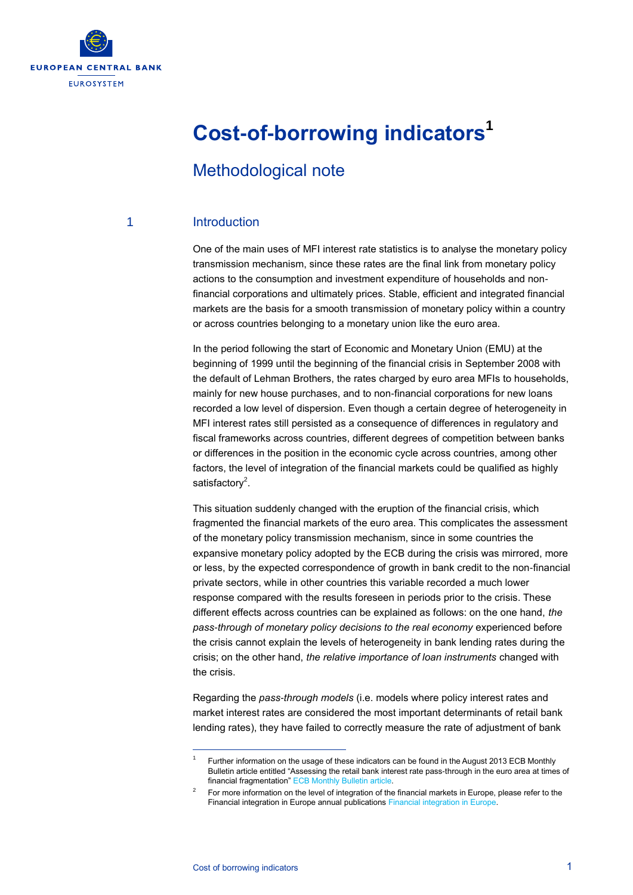

# **Cost-of-borrowing indicators<sup>1</sup>**

# Methodological note

#### 1 Introduction

One of the main uses of MFI interest rate statistics is to analyse the monetary policy transmission mechanism, since these rates are the final link from monetary policy actions to the consumption and investment expenditure of households and nonfinancial corporations and ultimately prices. Stable, efficient and integrated financial markets are the basis for a smooth transmission of monetary policy within a country or across countries belonging to a monetary union like the euro area.

In the period following the start of Economic and Monetary Union (EMU) at the beginning of 1999 until the beginning of the financial crisis in September 2008 with the default of Lehman Brothers, the rates charged by euro area MFIs to households, mainly for new house purchases, and to non-financial corporations for new loans recorded a low level of dispersion. Even though a certain degree of heterogeneity in MFI interest rates still persisted as a consequence of differences in regulatory and fiscal frameworks across countries, different degrees of competition between banks or differences in the position in the economic cycle across countries, among other factors, the level of integration of the financial markets could be qualified as highly satisfactory<sup>2</sup>.

This situation suddenly changed with the eruption of the financial crisis, which fragmented the financial markets of the euro area. This complicates the assessment of the monetary policy transmission mechanism, since in some countries the expansive monetary policy adopted by the ECB during the crisis was mirrored, more or less, by the expected correspondence of growth in bank credit to the non-financial private sectors, while in other countries this variable recorded a much lower response compared with the results foreseen in periods prior to the crisis. These different effects across countries can be explained as follows: on the one hand, *the pass-through of monetary policy decisions to the real economy* experienced before the crisis cannot explain the levels of heterogeneity in bank lending rates during the crisis; on the other hand, *the relative importance of loan instruments* changed with the crisis.

Regarding the *pass-through models* (i.e. models where policy interest rates and market interest rates are considered the most important determinants of retail bank lending rates), they have failed to correctly measure the rate of adjustment of bank

1

<sup>1</sup> Further information on the usage of these indicators can be found in the August 2013 ECB Monthly Bulletin article entitled "Assessing the retail bank interest rate pass-through in the euro area at times of financial fragmentation[" ECB Monthly Bulletin article.](http://www.ecb.europa.eu/pub/pdf/mobu/mb201308en.pdf)

<sup>2</sup> For more information on the level of integration of the financial markets in Europe, please refer to the Financial integration in Europe annual publications Financial integration in Europ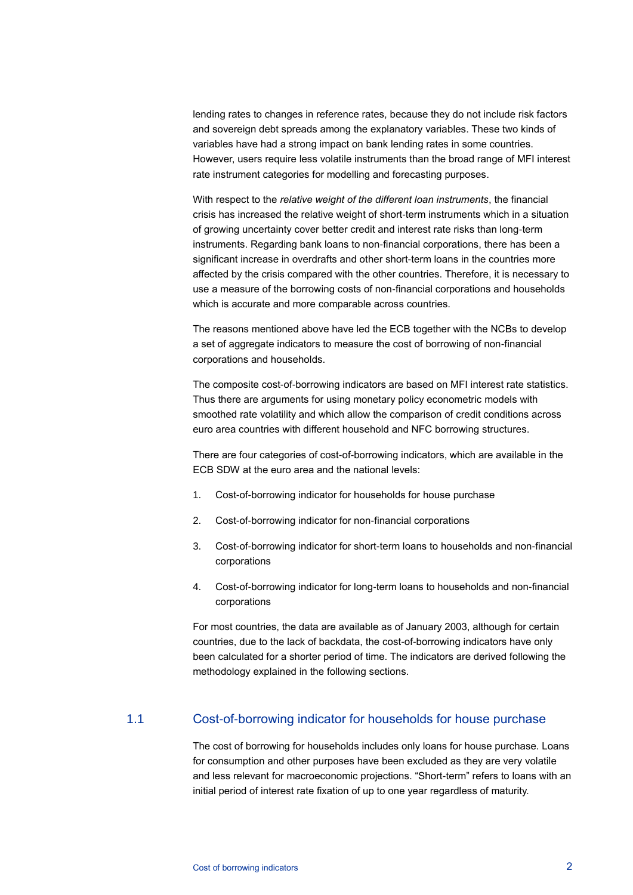lending rates to changes in reference rates, because they do not include risk factors and sovereign debt spreads among the explanatory variables. These two kinds of variables have had a strong impact on bank lending rates in some countries. However, users require less volatile instruments than the broad range of MFI interest rate instrument categories for modelling and forecasting purposes.

With respect to the *relative weight of the different loan instruments*, the financial crisis has increased the relative weight of short-term instruments which in a situation of growing uncertainty cover better credit and interest rate risks than long-term instruments. Regarding bank loans to non-financial corporations, there has been a significant increase in overdrafts and other short-term loans in the countries more affected by the crisis compared with the other countries. Therefore, it is necessary to use a measure of the borrowing costs of non-financial corporations and households which is accurate and more comparable across countries.

The reasons mentioned above have led the ECB together with the NCBs to develop a set of aggregate indicators to measure the cost of borrowing of non-financial corporations and households.

The composite cost-of-borrowing indicators are based on MFI interest rate statistics. Thus there are arguments for using monetary policy econometric models with smoothed rate volatility and which allow the comparison of credit conditions across euro area countries with different household and NFC borrowing structures.

There are four categories of cost-of-borrowing indicators, which are available in the ECB SDW at the euro area and the national levels:

- 1. Cost-of-borrowing indicator for households for house purchase
- 2. Cost-of-borrowing indicator for non-financial corporations
- 3. Cost-of-borrowing indicator for short-term loans to households and non-financial corporations
- 4. Cost-of-borrowing indicator for long-term loans to households and non-financial corporations

For most countries, the data are available as of January 2003, although for certain countries, due to the lack of backdata, the cost-of-borrowing indicators have only been calculated for a shorter period of time. The indicators are derived following the methodology explained in the following sections.

#### 1.1 Cost-of-borrowing indicator for households for house purchase

The cost of borrowing for households includes only loans for house purchase. Loans for consumption and other purposes have been excluded as they are very volatile and less relevant for macroeconomic projections. "Short-term" refers to loans with an initial period of interest rate fixation of up to one year regardless of maturity.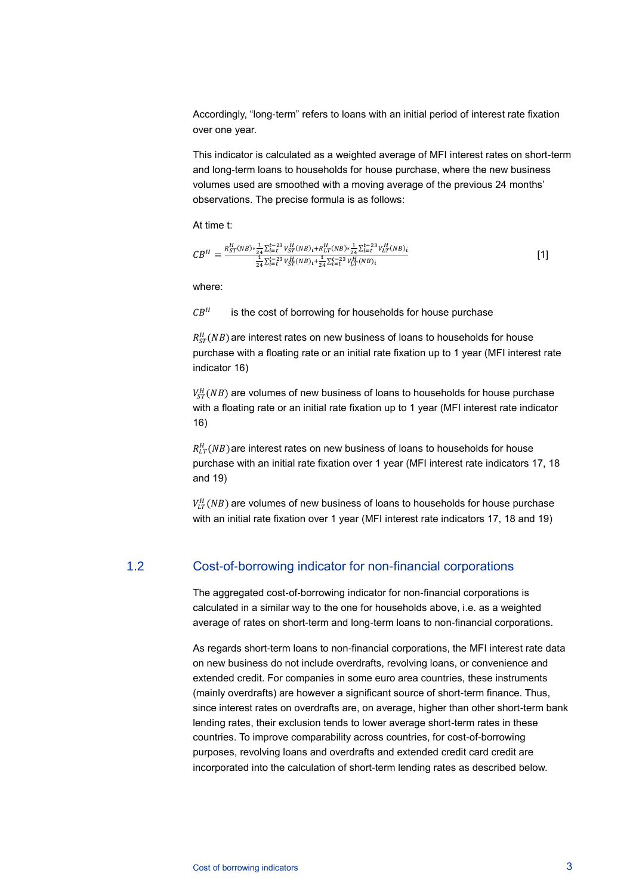Accordingly, "long-term" refers to loans with an initial period of interest rate fixation over one year.

This indicator is calculated as a weighted average of MFI interest rates on short-term and long-term loans to households for house purchase, where the new business volumes used are smoothed with a moving average of the previous 24 months' observations. The precise formula is as follows:

At time t:

$$
CB^{H} = \frac{R_{ST}^{H}(NB) * \frac{1}{24} \sum_{i=t}^{t-23} V_{ST}^{H}(NB)_{i} + R_{LT}^{H}(NB) * \frac{1}{24} \sum_{i=t}^{t-23} V_{LT}^{H}(NB)_{i}}{\frac{1}{24} \sum_{i=t}^{t-23} V_{ST}^{H}(NB)_{i} + \frac{1}{24} \sum_{i=t}^{t-23} V_{LT}^{H}(NB)_{i}} \tag{1}
$$

where:

 $CB<sup>H</sup>$  is the cost of borrowing for households for house purchase

 $R_{ST}^H(NB)$  are interest rates on new business of loans to households for house purchase with a floating rate or an initial rate fixation up to 1 year (MFI interest rate indicator 16)

 $V_{ST}^H(NB)$  are volumes of new business of loans to households for house purchase with a floating rate or an initial rate fixation up to 1 year (MFI interest rate indicator 16)

 $R_{LT}^H(NB)$  are interest rates on new business of loans to households for house purchase with an initial rate fixation over 1 year (MFI interest rate indicators 17, 18 and 19)

 $V_{LT}^H(NB)$  are volumes of new business of loans to households for house purchase with an initial rate fixation over 1 year (MFI interest rate indicators 17, 18 and 19)

#### 1.2 Cost-of-borrowing indicator for non-financial corporations

The aggregated cost-of-borrowing indicator for non-financial corporations is calculated in a similar way to the one for households above, i.e. as a weighted average of rates on short-term and long-term loans to non-financial corporations.

As regards short-term loans to non-financial corporations, the MFI interest rate data on new business do not include overdrafts, revolving loans, or convenience and extended credit. For companies in some euro area countries, these instruments (mainly overdrafts) are however a significant source of short-term finance. Thus, since interest rates on overdrafts are, on average, higher than other short-term bank lending rates, their exclusion tends to lower average short-term rates in these countries. To improve comparability across countries, for cost-of-borrowing purposes, revolving loans and overdrafts and extended credit card credit are incorporated into the calculation of short-term lending rates as described below.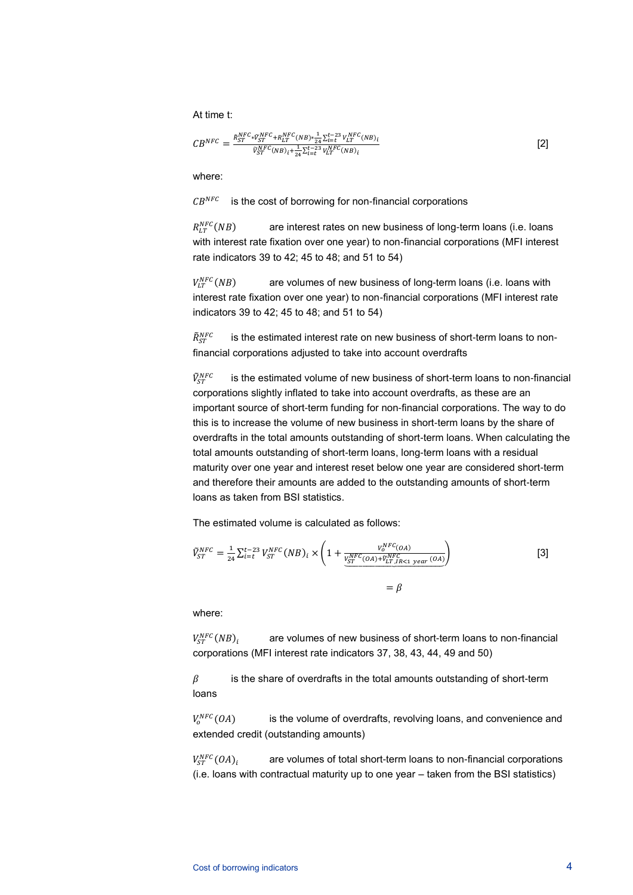At time t:

$$
CB^{NFC} = \frac{\bar{R}_{ST}^{NFC} * \bar{V}_{ST}^{NFC} + R_{LT}^{NFC}(NB) * \frac{1}{24} \sum_{i=t}^{t-23} V_{LT}^{NFC}(NB)_i}{\bar{V}_{ST}^{NFC}(NB)_i + \frac{1}{24} \sum_{i=t}^{t-23} V_{LT}^{NFC}(NB)_i}
$$
\n[2]

where:

 $CB^{NFC}$  is the cost of borrowing for non-financial corporations

 $R_{LT}^{NFC}(NB)$ are interest rates on new business of long-term loans (i.e. loans with interest rate fixation over one year) to non-financial corporations (MFI interest rate indicators 39 to 42; 45 to 48; and 51 to 54)

 $V^{NFC}_{1T}(NB)$ are volumes of new business of long-term loans (i.e. loans with interest rate fixation over one year) to non-financial corporations (MFI interest rate indicators 39 to 42; 45 to 48; and 51 to 54)

 $\tilde{R}_{ST}^{NI}$  is the estimated interest rate on new business of short-term loans to nonfinancial corporations adjusted to take into account overdrafts

 $\tilde{V}_{ST}^N$  is the estimated volume of new business of short-term loans to non-financial corporations slightly inflated to take into account overdrafts, as these are an important source of short-term funding for non-financial corporations. The way to do this is to increase the volume of new business in short-term loans by the share of overdrafts in the total amounts outstanding of short-term loans. When calculating the total amounts outstanding of short-term loans, long-term loans with a residual maturity over one year and interest reset below one year are considered short-term and therefore their amounts are added to the outstanding amounts of short-term loans as taken from BSI statistics.

The estimated volume is calculated as follows:

$$
\tilde{V}_{ST}^{NFC} = \frac{1}{24} \sum_{i=1}^{t-23} V_{ST}^{NFC} (NB)_i \times \left( 1 + \frac{V_{ST}^{NFC}(OA)}{\frac{V_{ST}^{NFC}(OA) + \tilde{V}_{LT}^{NFC}(BA) + \tilde{V}_{LT}^{NFC}(BA)}{P_{LT}^{NFC}(DA) + \tilde{V}_{LT}^{NFC}(BA)} \right)
$$
\n
$$
= \beta
$$
\n(3)

where:

 $V_{\text{cr}}^{NFC}(NB)_i$ are volumes of new business of short-term loans to non-financial corporations (MFI interest rate indicators 37, 38, 43, 44, 49 and 50)

 $\beta$  is the share of overdrafts in the total amounts outstanding of short-term loans

 $V_0^{NFC}(OA)$ is the volume of overdrafts, revolving loans, and convenience and extended credit (outstanding amounts)

 $V_{ST}^{NFC}(OA)_i$ are volumes of total short-term loans to non-financial corporations (i.e. loans with contractual maturity up to one year – taken from the BSI statistics)